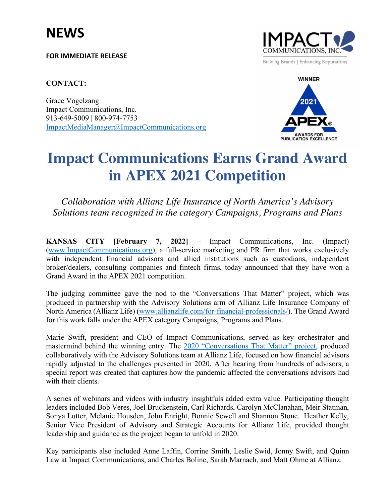**FOR IMMEDIATE RELEASE**

## **CONTACT:**

Grace Vogelzang Impact Communications, Inc. 913-649-5009 | 800-974-7753 ImpactMediaManager@ImpactCommunications.org





## **Impact Communications Earns Grand Award in APEX 2021 Competition**

*Collaboration with Allianz Life Insurance of North America's Advisory Solutions team recognized in the category Campaigns, Programs and Plans*

**KANSAS CITY [February 7, 2022]** – Impact Communications, Inc. (Impact) (www.ImpactCommunications.org), a full-service marketing and PR firm that works exclusively with independent financial advisors and allied institutions such as custodians, independent broker/dealers, consulting companies and fintech firms, today announced that they have won a Grand Award in the APEX 2021 competition.

The judging committee gave the nod to the "Conversations That Matter" project, which was produced in partnership with the Advisory Solutions arm of Allianz Life Insurance Company of North America (Allianz Life) (www.allianzlife.com/for-financial-professionals/). The Grand Award for this work falls under the APEX category Campaigns, Programs and Plans.

Marie Swift, president and CEO of Impact Communications, served as key orchestrator and mastermind behind the winning entry. The 2020 "Conversations That Matter" project, produced collaboratively with the Advisory Solutions team at Allianz Life, focused on how financial advisors rapidly adjusted to the challenges presented in 2020. After hearing from hundreds of advisors, a special report was created that captures how the pandemic affected the conversations advisors had with their clients

A series of webinars and videos with industry insightfuls added extra value. Participating thought leaders included Bob Veres, Joel Bruckenstein, Carl Richards, Carolyn McClanahan, Meir Statman, Sonya Lutter, Melanie Housden, John Enright, Bonnie Sewell and Shannon Stone. Heather Kelly, Senior Vice President of Advisory and Strategic Accounts for Allianz Life, provided thought leadership and guidance as the project began to unfold in 2020.

Key participants also included Anne Laffin, Corrine Smith, Leslie Swid, Jonny Swift, and Quinn Law at Impact Communications, and Charles Boline, Sarah Marnach, and Matt Ohme at Allianz.